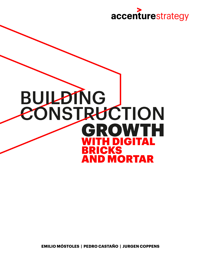

# **BUILDING CONSTRUCTION** OWTH G R **H DIGITAL RICKS AND MORTAR**

**EMILIO MÓSTOLES | PEDRO CASTAÑO | JURGEN COPPENS**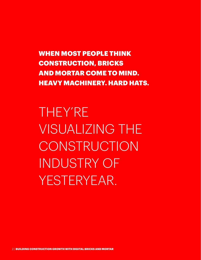WHEN MOST PEOPLE THINK CONSTRUCTION, BRICKS AND MORTAR COME TO MIND. HEAVY MACHINERY. HARD HATS.

THEY'RE VISUALIZING THE CONSTRUCTION INDUSTRY OF YESTERYEAR.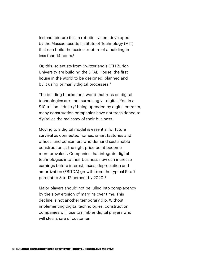Instead, picture this: a robotic system developed by the Massachusetts Institute of Technology (MIT) that can build the basic structure of a building in less than 14 hours.<sup>1</sup>

Or, this: scientists from Switzerland's ETH Zurich University are building the DFAB House, the first house in the world to be designed, planned and built using primarily digital processes.<sup>2</sup>

The building blocks for a world that runs on digital technologies are—not surprisingly—digital. Yet, in a  $$10$  trillion industry<sup>3</sup> being upended by digital entrants, many construction companies have not transitioned to digital as the mainstay of their business.

Moving to a digital model is essential for future survival as connected homes, smart factories and offices, and consumers who demand sustainable construction at the right price point become more prevalent. Companies that integrate digital technologies into their business now can increase earnings before interest, taxes, depreciation and amortization (EBITDA) growth from the typical 5 to 7 percent to 8 to 12 percent by 2020.4

Major players should not be lulled into complacency by the slow erosion of margins over time. This decline is not another temporary dip. Without implementing digital technologies, construction companies will lose to nimbler digital players who will steal share of customer.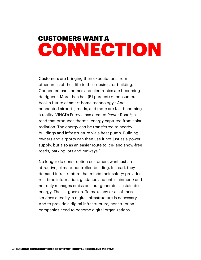# CUSTOMERS WANT A CONNECTION

Customers are bringing their expectations from other areas of their life to their desires for building. Connected cars, homes and electronics are becoming de rigueur. More than half (51 percent) of consumers back a future of smart-home technology.<sup>5</sup> And connected airports, roads, and more are fast becoming a reality. VINCI's Eurovia has created Power Road®, a road that produces thermal energy captured from solar radiation. The energy can be transferred to nearby buildings and infrastructure via a heat pump. Building owners and airports can then use it not just as a power supply, but also as an easier route to ice- and snow-free roads, parking lots and runways.<sup>6</sup>

No longer do construction customers want just an attractive, climate-controlled building. Instead, they demand infrastructure that minds their safety; provides real-time information, guidance and entertainment; and not only manages emissions but generates sustainable energy. The list goes on. To make any or all of these services a reality, a digital infrastructure is necessary. And to provide a digital infrastructure, construction companies need to become digital organizations.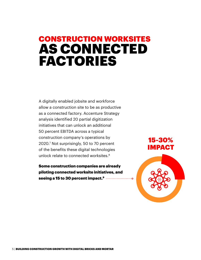# CONSTRUCTION WORKSITES AS CONNECTED FACTORIES

A digitally enabled jobsite and workforce allow a construction site to be as productive as a connected factory. Accenture Strategy analysis identified 20 partial digitization initiatives that can unlock an additional 50 percent EBITDA across a typical construction company's operations by 2020.7 Not surprisingly, 50 to 70 percent of the benefits these digital technologies unlock relate to connected worksites.<sup>8</sup>

Some construction companies are already piloting connected worksite initiatives, and seeing a 15 to 30 percent impact.9

15-30% IMPACT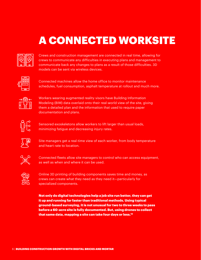# A CONNECTED WORKSITE



Crews and construction management are connected in real time, allowing for crews to communicate any difficulties in executing plans and management to communicate back any changes to plans as a result of those difficulties. 3D models can be sent via wireless devices.



Connected machines allow the home office to monitor maintenance schedules, fuel consumption, asphalt temperature at rollout and much more.



Workers wearing augmented reality visors have Building Information Modeling (BIM) data overlaid onto their real-world view of the site, giving them a detailed plan and the information that used to require paper documentation and plans.



Sensored exoskeletons allow workers to lift larger than usual loads, minimizing fatigue and decreasing injury rates.



Site managers get a real-time view of each worker, from body temperature and heart rate to location.



Connected fleets allow site managers to control who can access equipment, as well as when and where it can be used.



Online 3D printing of building components saves time and money, as crews can create what they need as they need it—particularly for specialized components.

Not only do digital technologies help a job site run better, they can get it up and running far faster than traditional methods. Using typical ground-based surveying, it is not unusual for two to three weeks to pass before a 60-acre site is fully documented. But, using drones to collect that same data, mapping a site can take four days or less.10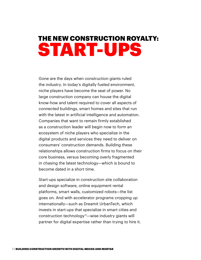# THE NEW CONSTRUCTION ROYALTY: START-UPS

Gone are the days when construction giants ruled the industry. In today's digitally fueled environment, niche players have become the seat of power. No large construction company can house the digital know-how and talent required to cover all aspects of connected buildings, smart homes and sites that run with the latest in artificial intelligence and automation. Companies that want to remain firmly established as a construction leader will begin now to form an ecosystem of niche players who specialize in the digital products and services they need to deliver on consumers' construction demands. Building these relationships allows construction firms to focus on their core business, versus becoming overly fragmented in chasing the latest technology—which is bound to become dated in a short time.

Start-ups specialize in construction site collaboration and design software, online equipment rental platforms, smart walls, customized robots—the list goes on. And with accelerator programs cropping up internationally—such as Dreamit UrbanTech, which invests in start-ups that specialize in smart cities and construction technology<sup>11</sup>—wise industry giants will partner for digital expertise rather than trying to hire it.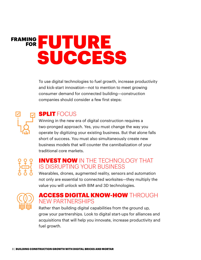# FRAMING **THE** UTURE SUCCESS

To use digital technologies to fuel growth, increase productivity and kick-start innovation—not to mention to meet growing consumer demand for connected building—construction companies should consider a few first steps:



## **SPLIT** FOCUS

Winning in the new era of digital construction requires a two-pronged approach. Yes, you must change the way you operate by digitizing your existing business. But that alone falls short of success. You must also simultaneously create new business models that will counter the cannibalization of your traditional core markets.



## INVEST NOW IN THE TECHNOLOGY THAT IS DISRUPTING YOUR BUSINESS

Wearables, drones, augmented reality, sensors and automation not only are essential to connected worksites—they multiply the value you will unlock with BIM and 3D technologies.



## ACCESS DIGITAL KNOW-HOW THROUGH NEW PARTNERSHIPS

Rather than building digital capabilities from the ground up, grow your partnerships. Look to digital start-ups for alliances and acquisitions that will help you innovate, increase productivity and fuel growth.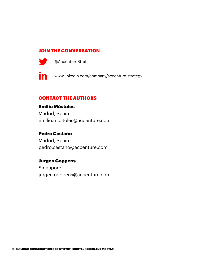### JOIN THE CONVERSATION



@[AccentureStrat](http://www.twitter.com/AccentureStrat)

**in** [www.linkedin.com/company/accenture-strategy](http://www.linkedin.com/company/accenture-strategy)

### CONTACT THE AUTHORS

### Emilio Móstoles

Madrid, Spain [emilio.mostoles@accenture.com](mailto:emilio.mostoles%40accenture.com?subject=)

### Pedro Castaño

Madrid, Spain [pedro.castano@accenture.com](mailto:pedro.castano%40accenture.com?subject=)

### Jurgen Coppens

Singapore [jurgen.coppens@accenture.com](mailto:jurgen.coppens%40accenture.com?subject=)